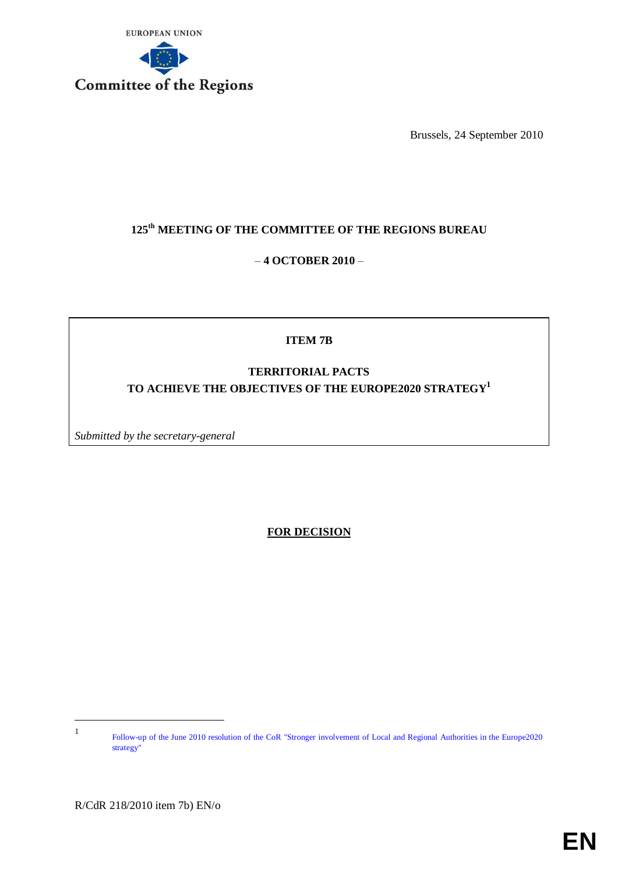

Brussels, 24 September 2010

# **125th MEETING OF THE COMMITTEE OF THE REGIONS BUREAU**

# – **4 OCTOBER 2010** –

# **ITEM 7B**

# **TERRITORIAL PACTS TO ACHIEVE THE OBJECTIVES OF THE EUROPE2020 STRATEGY<sup>1</sup>**

*Submitted by the secretary-general* 

**FOR DECISION**

-1

Follow-up of the June 2010 resolution of the CoR "Stronger involvement of Local and Regional Authorities in the Europe2020 strategy"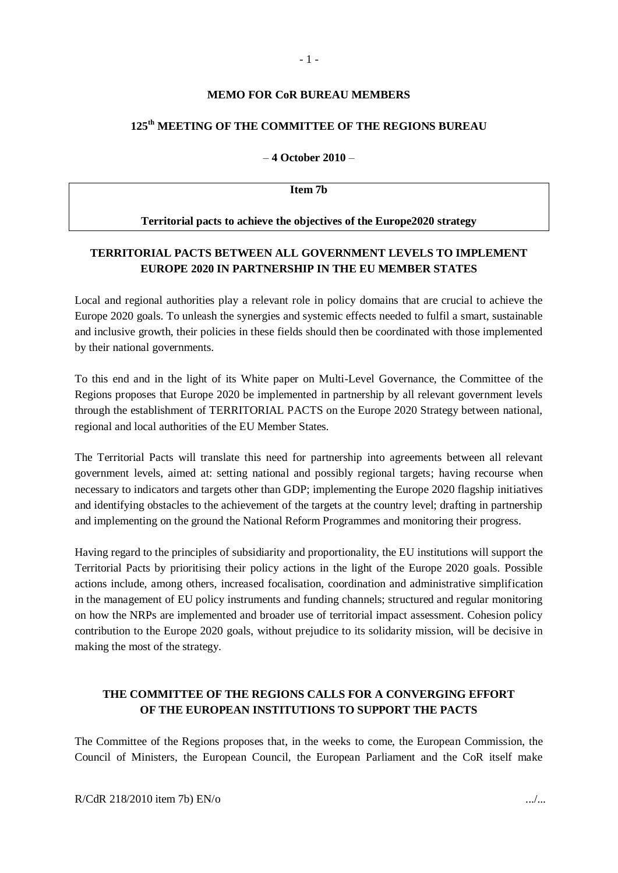#### **MEMO FOR CoR BUREAU MEMBERS**

## **125th MEETING OF THE COMMITTEE OF THE REGIONS BUREAU**

– **4 October 2010** –

**Item 7b**

#### **Territorial pacts to achieve the objectives of the Europe2020 strategy**

## **TERRITORIAL PACTS BETWEEN ALL GOVERNMENT LEVELS TO IMPLEMENT EUROPE 2020 IN PARTNERSHIP IN THE EU MEMBER STATES**

Local and regional authorities play a relevant role in policy domains that are crucial to achieve the Europe 2020 goals. To unleash the synergies and systemic effects needed to fulfil a smart, sustainable and inclusive growth, their policies in these fields should then be coordinated with those implemented by their national governments.

To this end and in the light of its White paper on Multi-Level Governance, the Committee of the Regions proposes that Europe 2020 be implemented in partnership by all relevant government levels through the establishment of TERRITORIAL PACTS on the Europe 2020 Strategy between national, regional and local authorities of the EU Member States.

The Territorial Pacts will translate this need for partnership into agreements between all relevant government levels, aimed at: setting national and possibly regional targets; having recourse when necessary to indicators and targets other than GDP; implementing the Europe 2020 flagship initiatives and identifying obstacles to the achievement of the targets at the country level; drafting in partnership and implementing on the ground the National Reform Programmes and monitoring their progress.

Having regard to the principles of subsidiarity and proportionality, the EU institutions will support the Territorial Pacts by prioritising their policy actions in the light of the Europe 2020 goals. Possible actions include, among others, increased focalisation, coordination and administrative simplification in the management of EU policy instruments and funding channels; structured and regular monitoring on how the NRPs are implemented and broader use of territorial impact assessment. Cohesion policy contribution to the Europe 2020 goals, without prejudice to its solidarity mission, will be decisive in making the most of the strategy.

# **THE COMMITTEE OF THE REGIONS CALLS FOR A CONVERGING EFFORT OF THE EUROPEAN INSTITUTIONS TO SUPPORT THE PACTS**

The Committee of the Regions proposes that, in the weeks to come, the European Commission, the Council of Ministers, the European Council, the European Parliament and the CoR itself make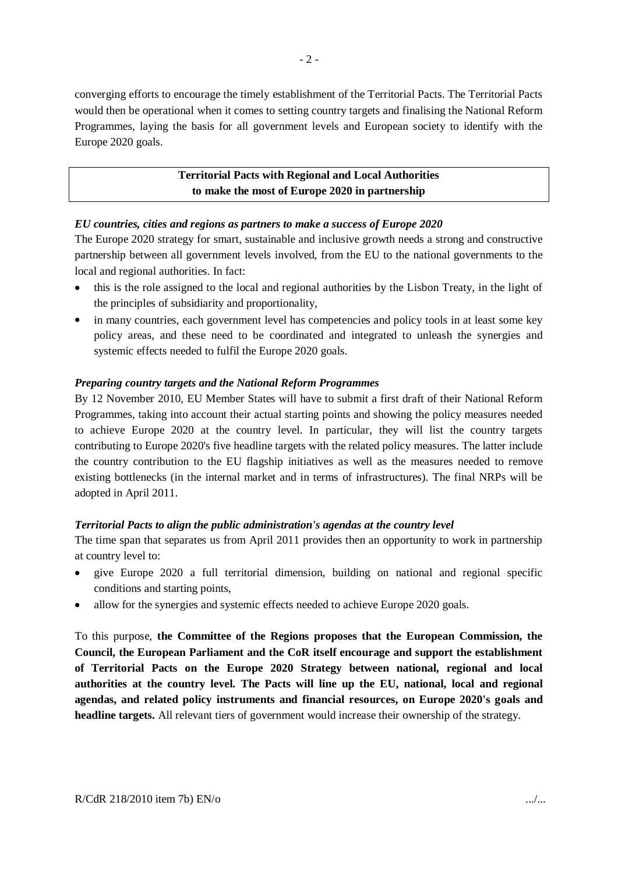converging efforts to encourage the timely establishment of the Territorial Pacts. The Territorial Pacts would then be operational when it comes to setting country targets and finalising the National Reform Programmes, laying the basis for all government levels and European society to identify with the Europe 2020 goals.

# **Territorial Pacts with Regional and Local Authorities to make the most of Europe 2020 in partnership**

### *EU countries, cities and regions as partners to make a success of Europe 2020*

The Europe 2020 strategy for smart, sustainable and inclusive growth needs a strong and constructive partnership between all government levels involved, from the EU to the national governments to the local and regional authorities. In fact:

- this is the role assigned to the local and regional authorities by the Lisbon Treaty, in the light of the principles of subsidiarity and proportionality,
- in many countries, each government level has competencies and policy tools in at least some key policy areas, and these need to be coordinated and integrated to unleash the synergies and systemic effects needed to fulfil the Europe 2020 goals.

### *Preparing country targets and the National Reform Programmes*

By 12 November 2010, EU Member States will have to submit a first draft of their National Reform Programmes, taking into account their actual starting points and showing the policy measures needed to achieve Europe 2020 at the country level. In particular, they will list the country targets contributing to Europe 2020's five headline targets with the related policy measures. The latter include the country contribution to the EU flagship initiatives as well as the measures needed to remove existing bottlenecks (in the internal market and in terms of infrastructures). The final NRPs will be adopted in April 2011.

#### *Territorial Pacts to align the public administration's agendas at the country level*

The time span that separates us from April 2011 provides then an opportunity to work in partnership at country level to:

- give Europe 2020 a full territorial dimension, building on national and regional specific conditions and starting points,
- allow for the synergies and systemic effects needed to achieve Europe 2020 goals.

To this purpose, **the Committee of the Regions proposes that the European Commission, the Council, the European Parliament and the CoR itself encourage and support the establishment of Territorial Pacts on the Europe 2020 Strategy between national, regional and local authorities at the country level. The Pacts will line up the EU, national, local and regional agendas, and related policy instruments and financial resources, on Europe 2020's goals and headline targets.** All relevant tiers of government would increase their ownership of the strategy.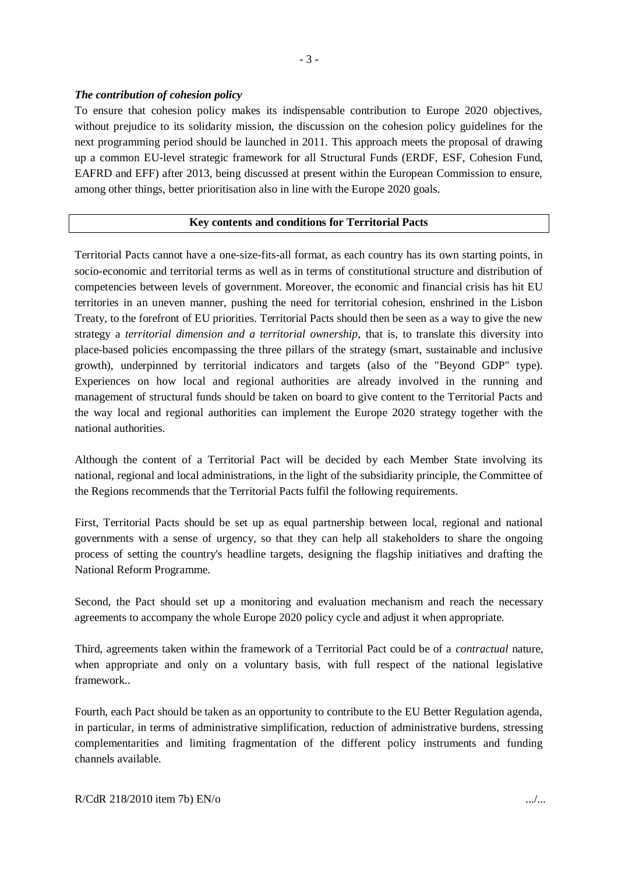### *The contribution of cohesion policy*

To ensure that cohesion policy makes its indispensable contribution to Europe 2020 objectives, without prejudice to its solidarity mission, the discussion on the cohesion policy guidelines for the next programming period should be launched in 2011. This approach meets the proposal of drawing up a common EU-level strategic framework for all Structural Funds (ERDF, ESF, Cohesion Fund, EAFRD and EFF) after 2013, being discussed at present within the European Commission to ensure, among other things, better prioritisation also in line with the Europe 2020 goals.

### **Key contents and conditions for Territorial Pacts**

Territorial Pacts cannot have a one-size-fits-all format, as each country has its own starting points, in socio-economic and territorial terms as well as in terms of constitutional structure and distribution of competencies between levels of government. Moreover, the economic and financial crisis has hit EU territories in an uneven manner, pushing the need for territorial cohesion, enshrined in the Lisbon Treaty, to the forefront of EU priorities. Territorial Pacts should then be seen as a way to give the new strategy a *territorial dimension and a territorial ownership*, that is, to translate this diversity into place-based policies encompassing the three pillars of the strategy (smart, sustainable and inclusive growth), underpinned by territorial indicators and targets (also of the "Beyond GDP" type). Experiences on how local and regional authorities are already involved in the running and management of structural funds should be taken on board to give content to the Territorial Pacts and the way local and regional authorities can implement the Europe 2020 strategy together with the national authorities.

Although the content of a Territorial Pact will be decided by each Member State involving its national, regional and local administrations, in the light of the subsidiarity principle, the Committee of the Regions recommends that the Territorial Pacts fulfil the following requirements.

First, Territorial Pacts should be set up as equal partnership between local, regional and national governments with a sense of urgency, so that they can help all stakeholders to share the ongoing process of setting the country's headline targets, designing the flagship initiatives and drafting the National Reform Programme.

Second, the Pact should set up a monitoring and evaluation mechanism and reach the necessary agreements to accompany the whole Europe 2020 policy cycle and adjust it when appropriate.

Third, agreements taken within the framework of a Territorial Pact could be of a *contractual* nature, when appropriate and only on a voluntary basis, with full respect of the national legislative framework..

Fourth, each Pact should be taken as an opportunity to contribute to the EU Better Regulation agenda, in particular, in terms of administrative simplification, reduction of administrative burdens, stressing complementarities and limiting fragmentation of the different policy instruments and funding channels available.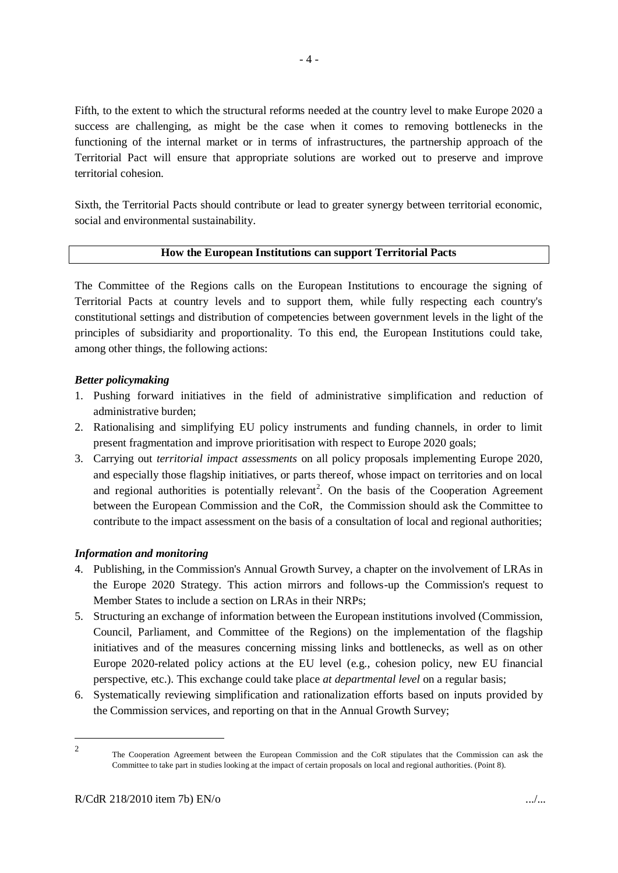Fifth, to the extent to which the structural reforms needed at the country level to make Europe 2020 a success are challenging, as might be the case when it comes to removing bottlenecks in the functioning of the internal market or in terms of infrastructures, the partnership approach of the Territorial Pact will ensure that appropriate solutions are worked out to preserve and improve territorial cohesion.

Sixth, the Territorial Pacts should contribute or lead to greater synergy between territorial economic, social and environmental sustainability.

#### **How the European Institutions can support Territorial Pacts**

The Committee of the Regions calls on the European Institutions to encourage the signing of Territorial Pacts at country levels and to support them, while fully respecting each country's constitutional settings and distribution of competencies between government levels in the light of the principles of subsidiarity and proportionality. To this end, the European Institutions could take, among other things, the following actions:

#### *Better policymaking*

- 1. Pushing forward initiatives in the field of administrative simplification and reduction of administrative burden;
- 2. Rationalising and simplifying EU policy instruments and funding channels, in order to limit present fragmentation and improve prioritisation with respect to Europe 2020 goals;
- 3. Carrying out *territorial impact assessments* on all policy proposals implementing Europe 2020, and especially those flagship initiatives, or parts thereof, whose impact on territories and on local and regional authorities is potentially relevant<sup>2</sup>. On the basis of the Cooperation Agreement between the European Commission and the CoR, the Commission should ask the Committee to contribute to the impact assessment on the basis of a consultation of local and regional authorities;

#### *Information and monitoring*

- 4. Publishing, in the Commission's Annual Growth Survey, a chapter on the involvement of LRAs in the Europe 2020 Strategy. This action mirrors and follows-up the Commission's request to Member States to include a section on LRAs in their NRPs;
- 5. Structuring an exchange of information between the European institutions involved (Commission, Council, Parliament, and Committee of the Regions) on the implementation of the flagship initiatives and of the measures concerning missing links and bottlenecks, as well as on other Europe 2020-related policy actions at the EU level (e.g., cohesion policy, new EU financial perspective, etc.). This exchange could take place *at departmental level* on a regular basis;
- 6. Systematically reviewing simplification and rationalization efforts based on inputs provided by the Commission services, and reporting on that in the Annual Growth Survey;

<sup>1</sup> 2

The Cooperation Agreement between the European Commission and the CoR stipulates that the Commission can ask the Committee to take part in studies looking at the impact of certain proposals on local and regional authorities. (Point 8).